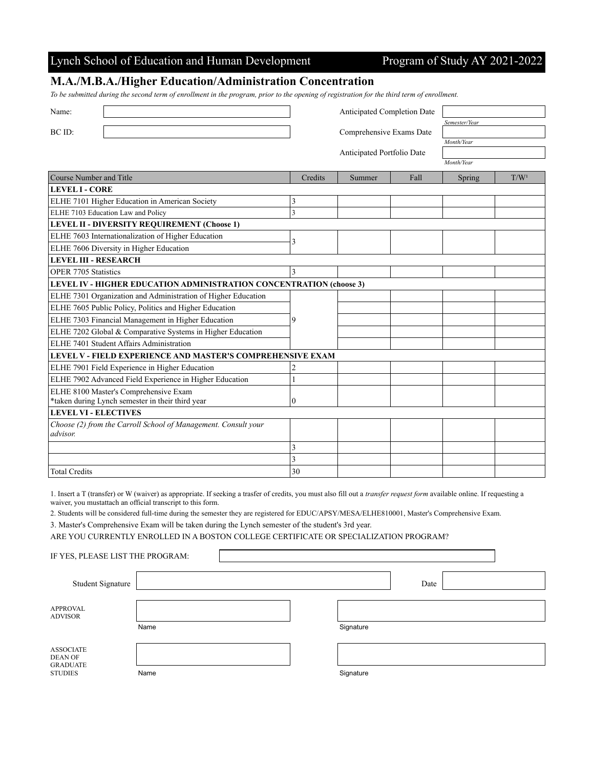## Lynch School of Education and Human Development Program of Study AY 2021-2022

## **M.A./M.B.A./Higher Education/Administration Concentration**

*To be submitted during the second term of enrollment in the program, prior to the opening of registration for the third term of enrollment.*

| Name:                                                               | Anticipated Completion Date |                            |      |               |                  |  |  |  |
|---------------------------------------------------------------------|-----------------------------|----------------------------|------|---------------|------------------|--|--|--|
|                                                                     |                             |                            |      | Semester/Year |                  |  |  |  |
| BC ID:                                                              | Comprehensive Exams Date    |                            |      |               |                  |  |  |  |
|                                                                     |                             |                            |      | Month/Year    |                  |  |  |  |
|                                                                     |                             | Anticipated Portfolio Date |      |               |                  |  |  |  |
|                                                                     |                             |                            |      | Month/Year    |                  |  |  |  |
| Course Number and Title                                             | Credits                     | Summer                     | Fall | Spring        | T/W <sup>1</sup> |  |  |  |
| <b>LEVEL I - CORE</b>                                               |                             |                            |      |               |                  |  |  |  |
| ELHE 7101 Higher Education in American Society                      | 3                           |                            |      |               |                  |  |  |  |
| ELHE 7103 Education Law and Policy                                  | 3                           |                            |      |               |                  |  |  |  |
| LEVEL II - DIVERSITY REQUIREMENT (Choose 1)                         |                             |                            |      |               |                  |  |  |  |
| ELHE 7603 Internationalization of Higher Education                  | 3                           |                            |      |               |                  |  |  |  |
| ELHE 7606 Diversity in Higher Education                             |                             |                            |      |               |                  |  |  |  |
| <b>LEVEL III - RESEARCH</b>                                         |                             |                            |      |               |                  |  |  |  |
| OPER 7705 Statistics                                                | 3                           |                            |      |               |                  |  |  |  |
| LEVEL IV - HIGHER EDUCATION ADMINISTRATION CONCENTRATION (choose 3) |                             |                            |      |               |                  |  |  |  |
| ELHE 7301 Organization and Administration of Higher Education       |                             |                            |      |               |                  |  |  |  |
| ELHE 7605 Public Policy, Politics and Higher Education              | 9                           |                            |      |               |                  |  |  |  |
| ELHE 7303 Financial Management in Higher Education                  |                             |                            |      |               |                  |  |  |  |
| ELHE 7202 Global & Comparative Systems in Higher Education          |                             |                            |      |               |                  |  |  |  |
| ELHE 7401 Student Affairs Administration                            |                             |                            |      |               |                  |  |  |  |
| LEVEL V - FIELD EXPERIENCE AND MASTER'S COMPREHENSIVE EXAM          |                             |                            |      |               |                  |  |  |  |
| ELHE 7901 Field Experience in Higher Education                      | 2                           |                            |      |               |                  |  |  |  |
| ELHE 7902 Advanced Field Experience in Higher Education             |                             |                            |      |               |                  |  |  |  |
| ELHE 8100 Master's Comprehensive Exam                               |                             |                            |      |               |                  |  |  |  |
| *taken during Lynch semester in their third year                    | 0                           |                            |      |               |                  |  |  |  |
| <b>LEVEL VI - ELECTIVES</b>                                         |                             |                            |      |               |                  |  |  |  |
| Choose (2) from the Carroll School of Management. Consult your      |                             |                            |      |               |                  |  |  |  |
| advisor.                                                            |                             |                            |      |               |                  |  |  |  |
|                                                                     | 3                           |                            |      |               |                  |  |  |  |
|                                                                     | 3                           |                            |      |               |                  |  |  |  |
| <b>Total Credits</b>                                                | 30                          |                            |      |               |                  |  |  |  |

1. Insert a T (transfer) or W (waiver) as appropriate. If seeking a trasfer of credits, you must also fill out a *transfer request form* available online. If requesting a waiver, you mustattach an official transcript to this form.

2. Students will be considered full-time during the semester they are registered for EDUC/APSY/MESA/ELHE810001, Master's Comprehensive Exam.

3. Master's Comprehensive Exam will be taken during the Lynch semester of the student's 3rd year.

IF YES, PLEASE LIST THE PROGRAM:

ARE YOU CURRENTLY ENROLLED IN A BOSTON COLLEGE CERTIFICATE OR SPECIALIZATION PROGRAM?

| Student Signature                                                |      |           | Date |  |
|------------------------------------------------------------------|------|-----------|------|--|
|                                                                  |      |           |      |  |
| <b>APPROVAL</b><br><b>ADVISOR</b>                                |      |           |      |  |
|                                                                  | Name | Signature |      |  |
|                                                                  |      |           |      |  |
| <b>ASSOCIATE</b><br>DEAN OF<br><b>GRADUATE</b><br><b>STUDIES</b> |      |           |      |  |
|                                                                  | Name | Signature |      |  |